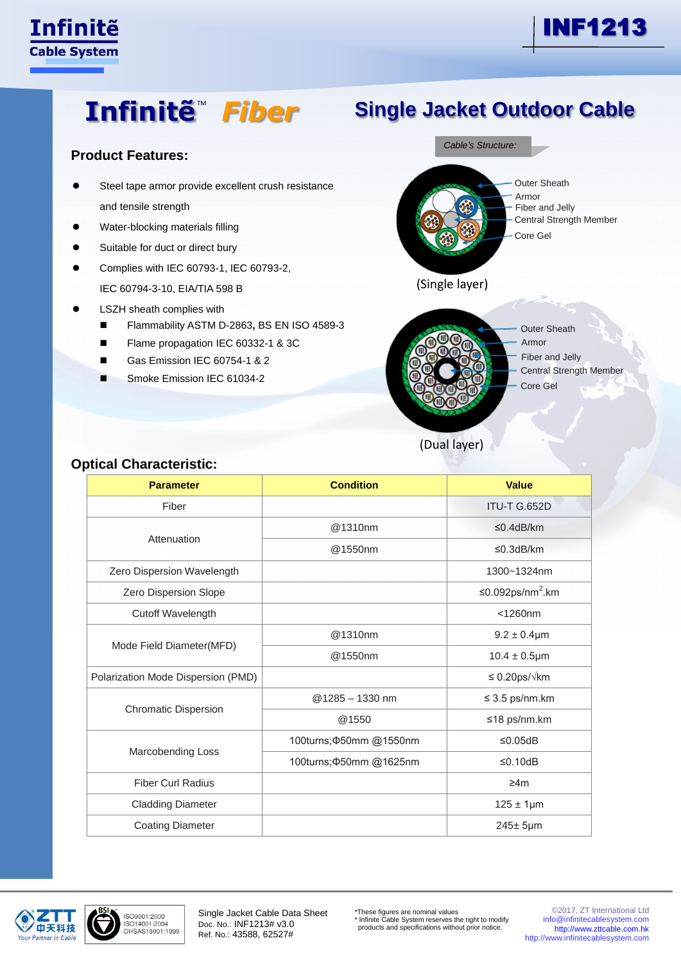

# **Infinitë**<sup>™</sup> Fiber

### **Product Features:**

- Steel tape armor provide excellent crush resistance and tensile strength
- Water-blocking materials filling
- Suitable for duct or direct bury
- Complies with IEC 60793-1, IEC 60793-2, IEC 60794-3-10, EIA/TIA 598 B
- LSZH sheath complies with
	- Flammability ASTM D-2863**,** BS EN ISO 4589-3
	- Flame propagation IEC 60332-1 & 3C
	- Gas Emission IEC 60754-1 & 2
	- Smoke Emission IEC 61034-2



(Dual layer)

| <b>Parameter</b>                   | <b>Condition</b>        | <b>Value</b>                 |  |  |
|------------------------------------|-------------------------|------------------------------|--|--|
| Fiber                              |                         | ITU-T G.652D                 |  |  |
|                                    | @1310nm                 | ≤0.4dB/km                    |  |  |
| Attenuation                        | @1550nm                 | ≤0.3dB/km                    |  |  |
| Zero Dispersion Wavelength         |                         | 1300~1324nm                  |  |  |
| Zero Dispersion Slope              |                         | ≤0.092ps/nm <sup>2</sup> .km |  |  |
| Cutoff Wavelength                  |                         | $<$ 1260 $nm$                |  |  |
|                                    | @1310nm                 | $9.2 \pm 0.4 \mu m$          |  |  |
| Mode Field Diameter(MFD)           | @1550nm                 | $10.4 \pm 0.5$ µm            |  |  |
| Polarization Mode Dispersion (PMD) |                         | $\leq 0.20$ ps/ $\sqrt{k}$ m |  |  |
|                                    | @1285 - 1330 nm         | $\leq$ 3.5 ps/nm.km          |  |  |
| <b>Chromatic Dispersion</b>        | @1550                   | ≤18 ps/nm.km                 |  |  |
|                                    | 100turns; 450mm @1550nm | ≤0.05dB                      |  |  |
| <b>Marcobending Loss</b>           | 100turns; 450mm @1625nm | ≤0.10dB                      |  |  |
| <b>Fiber Curl Radius</b>           |                         | ≥4m                          |  |  |
| <b>Cladding Diameter</b>           |                         | $125 \pm 1 \mu m$            |  |  |
| <b>Coating Diameter</b>            |                         | $245±5 \mu m$                |  |  |

#### **Optical Characteristic:**



ISO9001:2000 ISO14001:2004<br>OHSAS18001:1999 Single Jacket Cable Data Sheet Doc. No.: INF1213# v3.0 Ref. No.: 43588, 62527#

\*These figures are nominal values \* Infinite Cable System reserves the right to modify products and specifications without prior notice.

©2017, ZT International Ltd info@infinitecablesystem.com [http://www.zttcable.com.hk](http://www.zttcable.com.hk/) [http://www.infinitecablesystem.com](http://www.infinitecablesystem.com/)